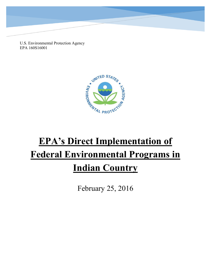U.S. Environmental Protection Agency EPA 160S16001



# **EPA's Direct Implementation of Federal Environmental Programs in Indian Country**

February 25, 2016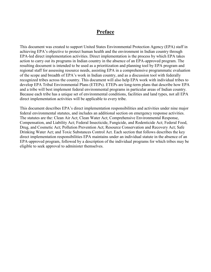## **Preface**

This document was created to support United States Environmental Protection Agency (EPA) staff in achieving EPA's objective to protect human health and the environment in Indian country through EPA-led direct implementation activities. Direct implementation is the process by which EPA takes action to carry out its programs in Indian country in the absence of an EPA-approved program. The resulting document is intended to be used as a prioritization and planning tool by EPA program and regional staff for assessing resource needs, assisting EPA in a comprehensive programmatic evaluation of the scope and breadth of EPA's work in Indian country, and as a discussion tool with federally recognized tribes across the country. This document will also help EPA work with individual tribes to develop EPA Tribal Environmental Plans (ETEPs). ETEPs are long-term plans that describe how EPA and a tribe will best implement federal environmental programs in particular areas of Indian country. Because each tribe has a unique set of environmental conditions, facilities and land types, not all EPA direct implementation activities will be applicable to every tribe.

This document describes EPA's direct implementation responsibilities and activities under nine major federal environmental statutes, and includes an additional section on emergency response activities. The statutes are the: Clean Air Act; Clean Water Act; Comprehensive Environmental Response, Compensation, and Liability Act; Federal Insecticide, Fungicide, and Rodenticide Act; Federal Food, Drug, and Cosmetic Act; Pollution Prevention Act; Resource Conservation and Recovery Act; Safe Drinking Water Act; and Toxic Substances Control Act. Each section that follows describes the key direct implementation responsibilities EPA maintains under an individual statute in the absence of an EPA-approved program, followed by a description of the individual programs for which tribes may be eligible to seek approval to administer themselves.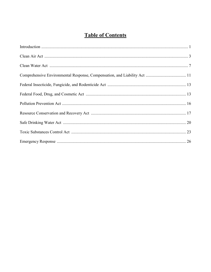## **Table of Contents**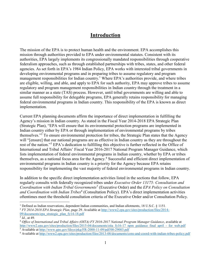## **Introduction**

The mission of the EPA is to protect human health and the environment. EPA accomplishes this mission through authorities provided to EPA under environmental statutes. Consistent with its authorities, EPA largely implements its congressionally mandated responsibilities through cooperative federalism approaches, such as through established partnerships with tribes, states, and other federal agencies. As set forth in EPA's 1984 Indian Policy, EPA works with interested tribal governments in developing environmental programs and in preparing tribes to assume regulatory and program management responsibilities for Indian country.<sup>1</sup> Where EPA's authorities provide, and where tribes are eligible, willing, and able, and apply to EPA for such authority, EPA may approve tribes to assume regulatory and program management responsibilities in Indian country through the treatment in a similar manner as a state (TAS) process. However, until tribal governments are willing and able to assume full responsibility for delegable programs, EPA generally retains responsibility for managing federal environmental programs in Indian country. This responsibility of the EPA is known as direct implementation.

Current EPA planning documents affirm the importance of direct implementation in fulfilling the Agency's mission in Indian country. As stated in the Fiscal Year 2014-2018 EPA Strategic Plan (Strategic Plan), "EPA will ensure that its environmental protection programs are implemented in Indian country either by EPA or through implementation of environmental programs by tribes themselves."<sup>2</sup> To ensure environmental protection for tribes, the Strategic Plan states that the Agency will "[ensure] that our national programs are as effective in Indian country as they are throughout the rest of the nation."<sup>3</sup> EPA's dedication to fulfilling this objective is further reflected in the Office of International and Tribal Affairs' Fiscal Year 2016-2017 National Program Manager Guidance, which lists implementation of federal environmental programs in Indian country, whether by EPA or tribes themselves, as a national focus area for the Agency.<sup>4</sup> Successful and efficient direct implementation of environmental programs in Indian country is a priority for the Agency because EPA retains responsibility for implementing the vast majority of federal environmental programs in Indian country.

In addition to the specific direct implementation activities listed in the sections that follow, EPA regularly consults with federally recognized tribes under *Executive Order 13175: Consultation and Coordination with Indian Tribal Governments<sup>5</sup>* (Executive Order) and the *EPA Policy on Consultation and Coordination with Indian Tribes<sup>6</sup>* (Consultation Policy). EPA's direct implementation activities oftentimes meet the threshold consultation criteria of the Executive Order and/or Consultation Policy.

 $\overline{a}$ 

<sup>&</sup>lt;sup>1</sup> Defined as Indian reservations, dependent Indian communities, and Indian allotments, 18 U.S.C.  $\S$  1151.

<sup>2</sup> *FY 2014-2018 EPA Strategic Plan*, page 29. Available at [http://www2.epa.gov/sites/production/files/2014-](http://www2.epa.gov/sites/production/files/2014-09/documents/epa_strategic_plan_fy14-18.pdf) [09/documents/epa\\_strategic\\_plan\\_fy14-18.pdf](http://www2.epa.gov/sites/production/files/2014-09/documents/epa_strategic_plan_fy14-18.pdf) 

<sup>3</sup> *Id.*, at 49.

<sup>4</sup> *Office of International and Tribal Affairs (OITA) FY 2016-2017 National Program Manager Guidance*, available at http://www2.epa.gov/sites/production/files/2015-04/documents/oita\_fy16-17\_npm\_guidance\_final\_april\_-\_for\_web.pdf <sup>5</sup> Available at http://www.gpo.gov/fdsys/pkg/FR-2000-11-09/pdf/00-29003.pdf

<sup>&</sup>lt;sup>6</sup> Available at http://www2.epa.gov/sites/production/files/2013-08/documents/cons-and-coord-with-indian-tribes-policy.pdf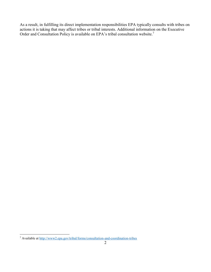As a result, in fulfilling its direct implementation responsibilities EPA typically consults with tribes on actions it is taking that may affect tribes or tribal interests. Additional information on the Executive Order and Consultation Policy is available on EPA's tribal consultation website.<sup>7</sup>

 7 Available at<http://www2.epa.gov/tribal/forms/consultation-and-coordination-tribes>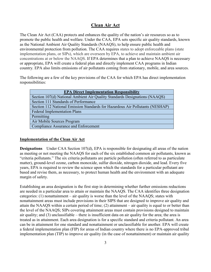## **Clean Air Act**

The Clean Air Act (CAA) protects and enhances the quality of the nation's air resources so as to promote the public health and welfare. Under the CAA, EPA sets specific air quality standards, known as the National Ambient Air Quality Standards (NAAQS), to help ensure public health and environmental protection from pollution. The CAA requires states to adopt enforceable plans (state implementation plans, or SIPs), which are overseen by EPA, to achieve and maintain ambient air concentrations at or below the NAAQS. If EPA determines that a plan to achieve NAAQS is necessary or appropriate, EPA will create a federal plan and directly implement CAA programs in Indian country. EPA also limits emissions of air pollutants coming from stationary, mobile, and area sources.

The following are a few of the key provisions of the CAA for which EPA has direct implementation responsibilities:

| <b>EPA Direct Implementation Responsibility</b>                               |
|-------------------------------------------------------------------------------|
| Section 107(d) National Ambient Air Quality Standards Designations (NAAQS)    |
| Section 111 Standards of Performance                                          |
| Section 112 National Emission Standards for Hazardous Air Pollutants (NESHAP) |
| <b>Federal Implementation Plans</b>                                           |
| Permitting                                                                    |
| Air Mobile Sources Program                                                    |
| <b>Compliance Assurance and Enforcement</b>                                   |

#### **Implementation of the Clean Air Act**

**Designations** Under CAA Section 107(d), EPA is responsible for designating all areas of the nation as meeting or not meeting the NAAQS for each of the six established common air pollutants, known as "criteria pollutants." The six criteria pollutants are particle pollution (often referred to as particulate matter), ground-level ozone, carbon monoxide, sulfur dioxide, nitrogen dioxide, and lead. Every five years, EPA is required to review the science upon which the standards for a particular pollutant are based and revise them, as necessary, to protect human health and the environment with an adequate margin of safety.

Establishing an area designation is the first step in determining whether further emissions reductions are needed in a particular area to attain or maintain the NAAQS. The CAA identifies three designation categories: (1) nonattainment – air quality is worse than the level of the NAAQS; states with nonattainment areas must include provisions in their SIPS that are designed to improve air quality and attain the NAAQS within a certain period of time; (2) attainment – air quality is equal to or better than the level of the NAAQS; SIPs covering attainment areas must contain provisions designed to maintain air quality; and (3) unclassifiable – there is insufficient data on air quality for the area; the area is treated as in attainment. Each area designation is for a specific standard and criteria pollutant. An area can be in attainment for one standard and nonattainment or unclassifiable for another. EPA will create a federal implementation plan (FIP) for areas of Indian country where there is no EPA-approved tribal implementation plan (TIP) to improve air quality (in the case of nonattainment) or maintain air quality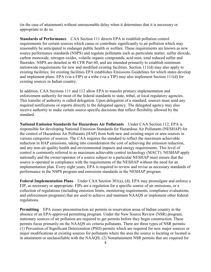(in the case of attainment) without unreasonable delay when it determines that it is necessary or appropriate to do so.

**Standards of Performance** CAA Section 111 directs EPA to establish pollution control requirements for certain sources which cause or contribute significantly to air pollution which may reasonably be anticipated to endanger public health or welfare. These requirements are known as new source performance standards (NSPS) and regulate pollutants such as particulate matter, sulfur dioxide, carbon monoxide, nitrogen oxides, volatile organic compounds, acid mist, total reduced sulfur and fluorides. NSPS are detailed in 40 CFR Part 60, and are intended primarily to establish minimum nationwide requirements for new and modified existing facilities. Section 111(d) may also apply to existing facilities; for existing facilities EPA establishes Emissions Guidelines for which states develop and implement plans. EPA (via a FIP) or a tribe (via a TIP) may also implement Section 111(d) for existing sources in Indian country.

In addition, CAA Sections 111 and 112 allow EPA to transfer primary implementation and enforcement authority for most of the federal standards to state, tribal, or local regulatory agencies. This transfer of authority is called delegation. Upon delegation of a standard, sources must send any required notifications or reports directly to the delegated agency. The delegated agency may also receive authority to make certain source-specific decisions that reflect flexibility allowed by the standard.

**National Emission Standards for Hazardous Air Pollutants** Under CAA Section 112, EPA is responsible for developing National Emission Standards for Hazardous Air Pollutants (NESHAP) for the control of Hazardous Air Pollutants (HAP) from both new and existing major or area sources in various categories of sources. The CAA requires the standard to reflect the maximum achievable reduction in HAP emissions, taking into consideration the cost of achieving the emission reduction, and any non-air quality health and environmental impacts and energy requirements. This level of control is commonly referred to as maximum achievable control technology (MACT). NESHAP apply nationally and the owner/operator of a source subject to a particular NESHAP must ensure that the source is operated in compliance with the requirements of the NESHAP without the need for an implementation plan. Every eight years, EPA is required to review and revise as necessary standards of performance in the NSPS program and emissions standards in the NESHAP program.

**Federal Implementation Plans** Under CAA Section 301(a), (d), EPA may promulgate and enforce a FIP, as necessary or appropriate. FIPs are a regulation for a specific source of air emissions, or a collection of regulations (including emission limits, monitoring requirements, compliance evaluations, and enforcement programs) that are used to achieve and maintain NAAQS or implement other federal regulations.

**Permitting** EPA issues preconstruction air permits in reservation areas of Indian country in the absence of an EPA-approved permitting program. Under the New Source Review (NSR) program, stationary sources of air pollution are required to get permits before they begin construction. These permits focus primarily on the NAAQS six criteria pollutants. There are three types of NSR permits: (1) Prevention of Significant Deterioration (PSD) permits which are required for new major sources or major modifications at existing sources for pollutants where the area the source is locating or located is in attainment or unclassifiable with the NAAQS; (2) Nonattainment NSR permits that are required for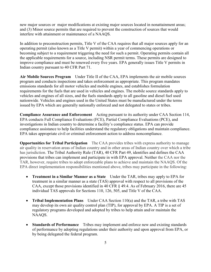new major sources or major modifications at existing major sources located in nonattainment areas; and (3) Minor source permits that are required to prevent the construction of sources that would interfere with attainment or maintenance of a NAAQS.

In addition to preconstruction permits, Title V of the CAA requires that all major sources apply for an operating permit (also known as a Title V permit) within a year of commencing operations or becoming subject to a requirement triggering the need for such a permit. Operating permits contain all the applicable requirements for a source, including NSR permit terms. These permits are designed to improve compliance and must be renewed every five years. EPA generally issues Title V permits in Indian country pursuant to 40 CFR Part 71.

**Air Mobile Sources Program** Under Title II of the CAA, EPA implements the air mobile sources program and conducts inspections and takes enforcement as appropriate. This program mandates emissions standards for all motor vehicles and mobile engines, and establishes formulation requirements for the fuels that are used in vehicles and engines. The mobile source standards apply to vehicles and engines of all sizes, and the fuels standards apply to all gasoline and diesel fuel used nationwide. Vehicles and engines used in the United States must be manufactured under the terms issued by EPA which are generally nationally enforced and not delegated to states or tribes.

**Compliance Assurance and Enforcement** Acting pursuant to its authority under CAA Section 114, EPA conducts Full Compliance Evaluations (FCE), Partial Compliance Evaluations (PCE), and investigations in Indian country to determine a facility's compliance status. EPA can provide compliance assistance to help facilities understand the regulatory obligations and maintain compliance. EPA takes appropriate civil or criminal enforcement action to address noncompliance.

**Opportunities for Tribal Participation** The CAA provides tribes with express authority to manage air quality in reservation areas of Indian country and in other areas of Indian country over which a tribe has jurisdiction. The Tribal Authority Rule (TAR), 40 CFR Part 49, identifies and defines the CAA provisions that tribes can implement and participate in with EPA approval. Neither the CAA nor the TAR, however, require tribes to adopt enforceable plans to achieve and maintain the NAAQS. Of the EPA direct implementation responsibilities mentioned above, tribes may participate in the following:

- **Treatment in a Similar Manner as a State** Under the TAR, tribes may apply to EPA for treatment in a similar manner as a state (TAS) approval with respect to all provisions of the CAA, except those provisions identified in 40 CFR § 49.4. As of February 2016, there are 45 individual TAS approvals for Sections 110, 126, 505, and Title V of the CAA.
- **Tribal Implementation Plans** Under CAA Section 110(a) and the TAR, a tribe with TAS may develop its own air quality control plan (TIP), for approval by EPA. A TIP is a set of regulatory programs developed and adopted by tribes to help attain and/or maintain the NAAQS.
- **Standards of Performance** Tribes may implement and enforce new and existing standards of performance by adopting regulations under their authority and upon approval from EPA, or by being delegated the federal program.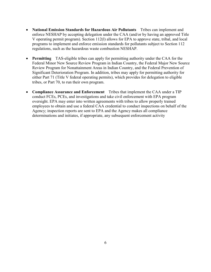- **National Emission Standards for Hazardous Air Pollutants** Tribes can implement and enforce NESHAP by accepting delegation under the CAA (and/or by having an approved Title V operating permit program). Section 112(l) allows for EPA to approve state, tribal, and local programs to implement and enforce emission standards for pollutants subject to Section 112 regulations, such as the hazardous waste combustion NESHAP.
- **Permitting** TAS-eligible tribes can apply for permitting authority under the CAA for the Federal Minor New Source Review Program in Indian Country, the Federal Major New Source Review Program for Nonattainment Areas in Indian Country, and the Federal Prevention of Significant Deterioration Program. In addition, tribes may apply for permitting authority for either Part 71 (Title V federal operating permits), which provides for delegation to eligible tribes, or Part 70, to run their own program.
- **Compliance Assurance and Enforcement** Tribes that implement the CAA under a TIP conduct FCEs, PCEs, and investigations and take civil enforcement with EPA program oversight. EPA may enter into written agreements with tribes to allow properly trained employees to obtain and use a federal CAA credential to conduct inspections on behalf of the Agency; inspection reports are sent to EPA and the Agency makes all compliance determinations and initiates, if appropriate, any subsequent enforcement activity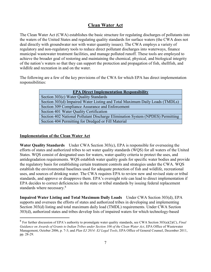## **Clean Water Act**

The Clean Water Act (CWA) establishes the basic structure for regulating discharges of pollutants into the waters of the United States and regulating quality standards for surface waters (the CWA does not deal directly with groundwater nor with water quantity issues). The CWA employs a variety of regulatory and non-regulatory tools to reduce direct pollutant discharges into waterways, finance municipal wastewater treatment facilities, and manage polluted runoff. These tools are employed to achieve the broader goal of restoring and maintaining the chemical, physical, and biological integrity of the nation's waters so that they can support the protection and propagation of fish, shellfish, and wildlife and recreation in and on the water.

The following are a few of the key provisions of the CWA for which EPA has direct implementation responsibilities:

| <b>EPA Direct Implementation Responsibility</b>                                |
|--------------------------------------------------------------------------------|
| Section 303(c) Water Quality Standards                                         |
| Section 303(d) Impaired Water Listing and Total Maximum Daily Loads (TMDLs)    |
| Section 309 Compliance Assurance and Enforcement                               |
| Section 401 Water Quality Certification                                        |
| Section 402 National Pollutant Discharge Elimination System (NPDES) Permitting |
| Section 404 Permitting for Dredged or Fill Material                            |

#### **Implementation of the Clean Water Act**

 $\overline{a}$ 

**Water Quality Standards** Under CWA Section 303(c), EPA is responsible for overseeing the efforts of states and authorized tribes to set water quality standards (WQS) for all waters of the United States. WQS consist of designated uses for waters, water quality criteria to protect the uses, and antidegradation requirements. WQS establish water quality goals for specific water bodies and provide the regulatory basis for establishing certain treatment controls and strategies under the CWA. WQS establish the environmental baselines used for adequate protection of fish and wildlife, recreational uses, and sources of drinking water. The CWA requires EPA to review new and revised state or tribal standards, and approve or disapprove them. EPA's oversight role can lead to direct implementation if EPA decides to correct deficiencies in the state or tribal standards by issuing federal replacement standards where necessary.<sup>8</sup>

**Impaired Water Listing and Total Maximum Daily Loads** Under CWA Section 303(d), EPA supports and oversees the efforts of states and authorized tribes in developing and implementing Section 303(d) listing and total maximum daily load (TMDL) requirements. Under CWA Section 303(d), authorized states and tribes develop lists of impaired waters for which technology-based

<sup>8</sup> For further discussion of EPA's authority to promulgate water quality standards, see CWA Section 303(a)(2)(C), *Final Guidance on Awards of Grants to Indian Tribes under Section 106 of the Clean Water Act*, EPA Office of Wastewater Management, October 2006, p. 7-3; and *Plan EJ 2014: EJ Legal Tools*, EPA Office of General Counsel, December 2011, pp. 28-29.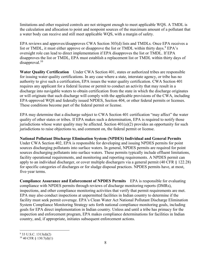limitations and other required controls are not stringent enough to meet applicable WQS. A TMDL is the calculation and allocation to point and nonpoint sources of the maximum amount of a pollutant that a water body can receive and still meet applicable WQS, with a margin of safety.

EPA reviews and approves/disapproves CWA Section 303(d) lists and TMDLs. Once EPA receives a list or TMDL, it must either approve or disapprove the list or TMDL within thirty days.  $9$  EPA's oversight role can lead to direct implementation if EPA disapproves the list or TMDL. If EPA disapproves the list or TMDL, EPA must establish a replacement list or TMDL within thirty days of disapproval.<sup>10</sup>

**Water Quality Certification** Under CWA Section 401, states or authorized tribes are responsible for issuing water quality certifications. In any case where a state, interstate agency, or tribe has no authority to give such a certification, EPA issues the water quality certification. CWA Section 401 requires any applicant for a federal license or permit to conduct an activity that may result in a discharge into navigable waters to obtain certification from the state in which the discharge originates or will originate that such discharge will comply with the applicable provisions of the CWA, including EPA-approved WQS and federally issued NPDES, Section 404, or other federal permits or licenses. These conditions become part of the federal permit or license.

EPA may determine that a discharge subject to CWA Section 401 certification "may affect" the water quality of other states or tribes. If EPA makes such a determination, EPA is required to notify those jurisdictions whose water quality may be affected. Section  $401(a)(2)$  provides an opportunity for such jurisdictions to raise objections to, and comment on, the federal permit or license.

#### **National Pollutant Discharge Elimination System (NPDES) Individual and General Permits**

Under CWA Section 402, EPA is responsible for developing and issuing NPDES permits for point sources discharging pollutants into surface waters. In general, NPDES permits are required for point sources discharging pollutants into surface waters. These permits typically include effluent limitations, facility operational requirements, and monitoring and reporting requirements. A NPDES permit can apply to an individual discharger, or cover multiple dischargers via a general permit (40 CFR § 122.28) for specific categories of discharges or for sludge disposal practices. NPDES permits have, at most, five-year terms.

**Compliance Assurance and Enforcement of NPDES Permits** EPA is responsible for evaluating compliance with NPDES permits through reviews of discharge monitoring reports (DMRs), inspections, and other compliance monitoring activities that verify that permit requirements are met. EPA may also conduct inspections at unpermitted facilities in Indian country to determine if the facility must seek permit coverage. EPA's Clean Water Act National Pollutant Discharge Elimination System Compliance Monitoring Strategy sets forth national compliance monitoring goals, including goals for EPA direct implementation in Indian country. Unless and until a tribe has primacy for the inspection and enforcement program, EPA makes compliance determinations for facilities in Indian country, and, if appropriate, initiates subsequent enforcement actions.

<sup>&</sup>lt;sup>9</sup> 33 U.S.C. 1313(d)(2)

 $10\,40$  CFR § 130.7(d)(1)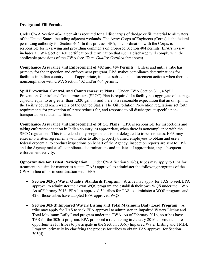#### **Dredge and Fill Permits**

Under CWA Section 404, a permit is required for all discharges of dredge or fill material to all waters of the United States, including adjacent wetlands. The Army Corps of Engineers (Corps) is the federal permitting authority for Section 404. In this process, EPA, in coordination with the Corps, is responsible for reviewing and providing comments on proposed Section 404 permits. EPA's review includes a CWA Section 401 certification determination that such a discharge will comply with the applicable provisions of the CWA (see *Water Quality Certification* above).

**Compliance Assurance and Enforcement of 402 and 404 Permits** Unless and until a tribe has primacy for the inspection and enforcement program, EPA makes compliance determinations for facilities in Indian country, and, if appropriate, initiates subsequent enforcement actions when there is noncompliance with CWA Section 402 and/or 404 permits.

**Spill Prevention, Control, and Countermeasure Plans** Under CWA Section 311, a Spill Prevention, Control and Countermeasure (SPCC) Plan is required if a facility has aggregate oil storage capacity equal to or greater than 1,320 gallons and there is a reasonable expectation that an oil spill at the facility could reach waters of the United States. The Oil Pollution Prevention regulations set forth requirements for prevention of, preparedness for, and response to oil discharges at specific nontransportation-related facilities.

**Compliance Assurance and Enforcement of SPCC Plans** EPA is responsible for inspections and taking enforcement action in Indian country, as appropriate, when there is noncompliance with the SPCC regulations. This is a federal-only program and is not delegated to tribes or states. EPA may enter into written agreements with tribes to allow properly trained employees to obtain and use a federal credential to conduct inspections on behalf of the Agency; inspection reports are sent to EPA and the Agency makes all compliance determinations and initiates, if appropriate, any subsequent enforcement activity.

**Opportunities for Tribal Participation** Under CWA Section 518(e), tribes may apply to EPA for treatment in a similar manner as a state (TAS) approval to administer the following programs of the CWA in lieu of, or in coordination with, EPA:

- **Section 303(c) Water Quality Standards Program** A tribe may apply for TAS to seek EPA approval to administer their own WQS program and establish their own WQS under the CWA. As of February 2016, EPA has approved 50 tribes for TAS to administer a WQS program, and 42 of those tribes have adopted EPA-approved WQS.
- **Section 303(d) Impaired Waters Listing and Total Maximum Daily Load Program** A tribe may apply for TAS to seek EPA approval to administer an Impaired Waters Listing and Total Maximum Daily Load program under the CWA. As of February 2016, no tribes have TAS for the 303(d) program. EPA proposed a rulemaking in January 2016 to provide more opportunities for tribes to participate in the Section 303(d) Impaired Water Listing and TMDL Program, primarily by clarifying the process for tribes to obtain TAS approval for Section  $303(d)$ .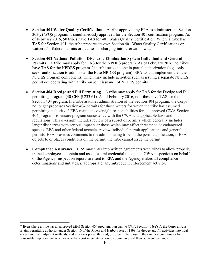- **Section 401 Water Quality Certification** A tribe approved by EPA to administer the Section 303(c) WQS program is simultaneously approved for the Section 401 certification program. As of February 2016, 50 tribes have TAS for 401 Water Quality Certification. Where a tribe has TAS for Section 401, the tribe prepares its own Section 401 Water Quality Certifications or waivers for federal permits or licenses discharging into reservation waters.
- **Section 402 National Pollution Discharge Elimination System Individual and General Permits** A tribe may apply for TAS for the NPDES program. As of February 2016, no tribes have TAS for the NPDES program. If a tribe seeks to obtain partial authorization (e.g., only seeks authorization to administer the Base NPDES program), EPA would implement the other NPDES program components, which may include activities such as issuing a separate NPDES permit or negotiating with a tribe on joint issuance of NPDES permits.
- **Section 404 Dredge and Fill Permitting** A tribe may apply for TAS for the Dredge and Fill permitting program (40 CFR § 233.61). As of February 2016, no tribes have TAS for the Section 404 program. If a tribe assumes administration of the Section 404 program, the Corps no longer processes Section 404 permits for those waters for which the tribe has assumed permitting authority.<sup>11</sup> EPA maintains oversight responsibilities for all approved CWA Section 404 programs to ensure program consistency with the CWA and applicable laws and regulations. This oversight includes review of a subset of permits which generally includes larger discharges with serious impacts or those which may affect threatened or endangered species. EPA and other federal agencies review individual permit applications and general permits. EPA provides comments to the administering tribe on the permit application; if EPA objects to or places conditions on the permit, the tribe cannot issue the permit.
- **Compliance Assurance** EPA may enter into written agreements with tribes to allow properly trained employees to obtain and use a federal credential to conduct CWA inspections on behalf of the Agency; inspection reports are sent to EPA and the Agency makes all compliance determinations and initiates, if appropriate, any subsequent enforcement activity.

 $\overline{a}$ 

<sup>&</sup>lt;sup>11</sup> Even where a tribe has an approved tribal Section 404 program, pursuant to CWA Section  $404(g)(1)$ , the Corps always retains permitting authority under Section 10 of the Rivers and Harbors Act of 1899 for dredge and fill activities into tidal waters and their adjacent wetlands, and in waters presently used, or susceptible to use in their natural condition or by reasonable improvement as a means to transport interstate or foreign commerce and their adjacent wetlands.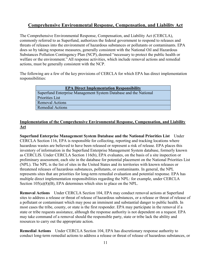## **Comprehensive Environmental Response, Compensation, and Liability Act**

The Comprehensive Environmental Response, Compensation, and Liability Act (CERCLA), commonly referred to as Superfund, authorizes the federal government to respond to releases and threats of releases into the environment of hazardous substances or pollutants or contaminants. EPA does so by taking response measures, generally consistent with the National Oil and Hazardous Substances Pollution Contingency Plan (NCP), deemed "necessary to protect the public health or welfare or the environment." All response activities, which include removal actions and remedial actions, must be generally consistent with the NCP.

The following are a few of the key provisions of CERCLA for which EPA has direct implementation responsibilities:

| <b>EPA Direct Implementation Responsibility</b>                  |
|------------------------------------------------------------------|
| Superfund Enterprise Management System Database and the National |
| Priorities List                                                  |
| <b>Removal Actions</b>                                           |
| <b>Remedial Actions</b>                                          |

#### **Implementation of the Comprehensive Environmental Response, Compensation, and Liability Act**

**Superfund Enterprise Management System Database and the National Priorities List** Under CERCLA Section 116, EPA is responsible for collecting, reporting and tracking locations where hazardous wastes are believed to have been released or represent a risk of release. EPA places this inventory of information in the Superfund Enterprise Management System database, formerly known as CERCLIS. Under CERCLA Section 116(b), EPA evaluates, on the basis of a site inspection or preliminary assessment, each site in the database for potential placement on the National Priorities List (NPL). The NPL is the list of sites in the United States and its territories with known releases or threatened releases of hazardous substances, pollutants, or contaminants. In general, the NPL represents sites that are priorities for long-term remedial evaluation and potential response. EPA has multiple direct implementation responsibilities regarding the NPL: for example, under CERCLA Section 105(a)(8)(B), EPA determines which sites to place on the NPL.

**Removal Actions** Under CERCLA Section 104, EPA may conduct removal actions at Superfund sites to address a release or threat of release of hazardous substances, or a release or threat of release of a pollutant or contaminant which may pose an imminent and substantial danger to public health. In most cases the tribe, county, or state is the first responder. EPA may participate in the removal if a state or tribe requests assistance, although the response authority is not dependent on a request. EPA may take command of a removal should the responsible party, state or tribe lack the ability and resources to carry out the appropriate action.

**Remedial Actions** Under CERCLA Section 104, EPA has discretionary response authority to conduct long-term remedial actions to address a release or threat of release of hazardous substances, or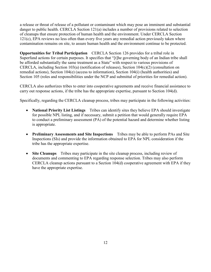a release or threat of release of a pollutant or contaminant which may pose an imminent and substantial danger to public health. CERCLA Section 121(a) includes a number of provisions related to selection of cleanups that ensure protection of human health and the environment. Under CERCLA Section 121(c), EPA reviews no less often than every five years any remedial action previously taken where contamination remains on site, to assure human health and the environment continue to be protected.

**Opportunities for Tribal Participation** CERCLA Section 126 provides for a tribal role in Superfund actions for certain purposes. It specifies that "[t]he governing body of an Indian tribe shall be afforded substantially the same treatment as a State" with respect to various provisions of CERCLA, including Section 103(a) (notification of releases), Section 104(c)(2) (consultation on remedial actions), Section 104(e) (access to information), Section 104(i) (health authorities) and Section 105 (roles and responsibilities under the NCP and submittal of priorities for remedial action).

CERCLA also authorizes tribes to enter into cooperative agreements and receive financial assistance to carry out response actions, if the tribe has the appropriate expertise, pursuant to Section 104(d).

Specifically, regarding the CERCLA cleanup process, tribes may participate in the following activities:

- **National Priority List Listings** Tribes can identify sites they believe EPA should investigate for possible NPL listing, and if necessary, submit a petition that would generally require EPA to conduct a preliminary assessment (PA) of the potential hazard and determine whether listing is appropriate.
- **Preliminary Assessments and Site Inspections** Tribes may be able to perform PAs and Site Inspections (SIs) and provide the information obtained to EPA for NPL consideration if the tribe has the appropriate expertise.
- **Site Cleanups** Tribes may participate in the site cleanup process, including review of documents and commenting to EPA regarding response selection. Tribes may also perform CERCLA cleanup actions pursuant to a Section 104(d) cooperative agreement with EPA if they have the appropriate expertise.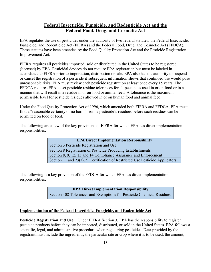### **Federal Insecticide, Fungicide, and Rodenticide Act and the Federal Food, Drug, and Cosmetic Act**

EPA regulates the use of pesticides under the authority of two federal statutes: the Federal Insecticide, Fungicide, and Rodenticide Act (FIFRA) and the Federal Food, Drug, and Cosmetic Act (FFDCA). These statutes have been amended by the Food Quality Protection Act and the Pesticide Registration Improvement Act.

FIFRA requires all pesticides imported, sold or distributed in the United States to be registered (licensed) by EPA. Pesticidal devices do not require EPA registration but must be labeled in accordance to FIFRA prior to importation, distribution or sale. EPA also has the authority to suspend or cancel the registration of a pesticide if subsequent information shows that continued use would pose unreasonable risks. EPA must review each pesticide registration at least once every 15 years. The FFDCA requires EPA to set pesticide residue tolerances for all pesticides used in or on food or in a manner that will result in a residue in or on food or animal feed. A tolerance is the maximum permissible level for pesticide residues allowed in or on human food and animal feed.

Under the Food Quality Protection Act of 1996, which amended both FIFRA and FFDCA, EPA must find a "reasonable certainty of no harm" from a pesticide's residues before such residues can be permitted on food or feed.

The following are a few of the key provisions of FIFRA for which EPA has direct implementation responsibilities:

| <b>EPA Direct Implementation Responsibility</b>                                 |
|---------------------------------------------------------------------------------|
| Section 3 Pesticide Registration and Use                                        |
| Section 8 Registration of Pesticide Producing Establishments                    |
| Section 8, 9, 12, 13 and 14 Compliance Assurance and Enforcement                |
| Section 11 and $23(a)(2)$ Certification of Restricted Use Pesticide Applicators |

The following is a key provision of the FFDCA for which EPA has direct implementation responsibilities:

**EPA Direct Implementation Responsibility**

Section 408 Tolerances and Exemptions for Pesticide Chemical Residues

#### **Implementation of the Federal Insecticide, Fungicide, and Rodenticide Act**

**Pesticide Registration and Use** Under FIFRA Section 3, EPA has the responsibility to register pesticide products before they can be imported, distributed, or sold in the United States. EPA follows a scientific, legal, and administrative procedure when registering pesticides. Data provided by the registrant must include the ingredients, the particular site or crop where it is to be used, the amount,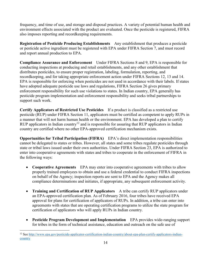frequency, and time of use, and storage and disposal practices. A variety of potential human health and environment effects associated with the product are evaluated. Once the pesticide is registered, FIFRA also imposes reporting and recordkeeping requirements.

**Registration of Pesticide Producing Establishments** Any establishment that produces a pesticide or pesticide active ingredient must be registered with EPA under FIFRA Section 7, and must record and report annual production to EPA.

**Compliance Assurance and Enforcement** Under FIFRA Sections 8 and 9, EPA is responsible for conducting inspections at producing and retail establishments, and any other establishment that distributes pesticides, to ensure proper registration, labeling, formulation, reporting, and recordkeeping, and for taking appropriate enforcement action under FIFRA Sections 12, 13 and 14. EPA is responsible for enforcing when pesticides are not used in accordance with their labels. If states have adopted adequate pesticide use laws and regulations, FIFRA Section 26 gives primary enforcement responsibility for such use violations to states. In Indian country, EPA generally has pesticide program implementation and enforcement responsibility and seeks tribal partnerships to support such work.

**Certify Applicators of Restricted Use Pesticides** If a product is classified as a restricted use pesticide (RUP) under FIFRA Section 11, applicators must be certified as competent to apply RUPs in a manner that will not harm human health or the environment. EPA has developed a plan to certify RUP applicators in Indian country<sup>12</sup> and is responsible for assuring that RUP applicators in Indian country are certified where no other EPA-approved certification mechanism exists.

**Opportunities for Tribal Participation (FIFRA)** EPA's direct implementation responsibilities cannot be delegated to states or tribes. However, all states and some tribes regulate pesticides through state or tribal laws issued under their own authorities. Under FIFRA Section 23, EPA is authorized to enter into cooperative agreements with states and tribes to cooperate in the enforcement of FIFRA in the following ways:

- **Cooperative Agreements** EPA may enter into cooperative agreements with tribes to allow properly trained employees to obtain and use a federal credential to conduct FIFRA inspections on behalf of the Agency; inspection reports are sent to EPA and the Agency makes all compliance determinations and initiates, if appropriate, any subsequent enforcement activity.
- **Training and Certification of RUP Applicators** A tribe can certify RUP applicators under an EPA-approved certification plan. As of February 2016, four tribes have received EPA approval for plans for certification of applicators of RUPs. In addition, a tribe can enter into agreements with states that are operating certification programs to utilize the state program for certification of applicators who will apply RUPs in Indian country.
- **Pesticide Program Development and Implementation** EPA provides wide-ranging support for tribes in the form of technical assistance, education and outreach on the safe use of

 $\overline{a}$ 

<sup>&</sup>lt;sup>12</sup> Se[e http://www.epa.gov/pesticide-applicator-certification-indian-country/about-epa-plan-certify-applicators-indian](http://www.epa.gov/pesticide-applicator-certification-indian-country/about-epa-plan-certify-applicators-indian-country)[country](http://www.epa.gov/pesticide-applicator-certification-indian-country/about-epa-plan-certify-applicators-indian-country)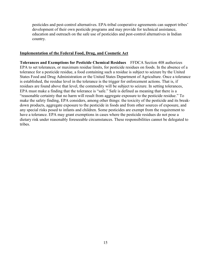pesticides and pest-control alternatives. EPA-tribal cooperative agreements can support tribes' development of their own pesticide programs and may provide for technical assistance, education and outreach on the safe use of pesticides and pest-control alternatives in Indian country.

#### **Implementation of the Federal Food, Drug, and Cosmetic Act**

**Tolerances and Exemptions for Pesticide Chemical Residues** FFDCA Section 408 authorizes EPA to set tolerances, or maximum residue limits, for pesticide residues on foods. In the absence of a tolerance for a pesticide residue, a food containing such a residue is subject to seizure by the United States Food and Drug Administration or the United States Department of Agriculture. Once a tolerance is established, the residue level in the tolerance is the trigger for enforcement actions. That is, if residues are found above that level, the commodity will be subject to seizure. In setting tolerances, EPA must make a finding that the tolerance is "safe." Safe is defined as meaning that there is a "reasonable certainty that no harm will result from aggregate exposure to the pesticide residue." To make the safety finding, EPA considers, among other things: the toxicity of the pesticide and its breakdown products, aggregate exposure to the pesticide in foods and from other sources of exposure, and any special risks posed to infants and children. Some pesticides are exempt from the requirement to have a tolerance. EPA may grant exemptions in cases where the pesticide residues do not pose a dietary risk under reasonably foreseeable circumstances. These responsibilities cannot be delegated to tribes.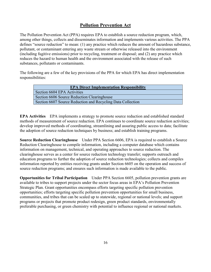## **Pollution Prevention Act**

The Pollution Prevention Act (PPA) requires EPA to establish a source reduction program, which, among other things, collects and disseminates information and implements various activities. The PPA defines "source reduction" to mean: (1) any practice which reduces the amount of hazardous substance, pollutant, or contaminant entering any waste stream or otherwise released into the environment (including fugitive emissions) prior to recycling, treatment or disposal; and (2) any practice which reduces the hazard to human health and the environment associated with the release of such substances, pollutants or contaminants.

The following are a few of the key provisions of the PPA for which EPA has direct implementation responsibilities:

| <b>EPA Direct Implementation Responsibility</b>             |
|-------------------------------------------------------------|
| Section 6604 EPA Activities                                 |
| Section 6606 Source Reduction Clearinghouse                 |
| Section 6607 Source Reduction and Recycling Data Collection |

**EPA Activities** EPA implements a strategy to promote source reduction and established standard methods of measurement of source reduction. EPA continues to coordinate source reduction activities; develop improved methods of coordinating, streamlining and assuring public access to data; facilitate the adoption of source reduction techniques by business; and establish training programs.

**Source Reduction Clearinghouse** Under PPA Section 6606, EPA is required to establish a Source Reduction Clearinghouse to compile information, including a computer database which contains information on management, technical, and operating approaches to source reduction. The clearinghouse serves as a center for source reduction technology transfer; supports outreach and education programs to further the adoption of source reduction technologies; collects and compiles information reported by entities receiving grants under Section 6605 on the operation and success of source reduction programs; and ensures such information is made available to the public.

**Opportunities for Tribal Participation** Under PPA Section 6605, pollution prevention grants are available to tribes to support projects under the sector focus areas in EPA's Pollution Prevention Strategic Plan. Grant opportunities encompass efforts targeting specific pollution prevention opportunities; efforts targeting specific pollution prevention opportunities for small business, communities, and tribes that can be scaled up to statewide, regional or national levels; and support programs or projects that promote product redesign, green product standards, environmentally preferable purchasing, or green chemistry with potential to influence regional or national markets.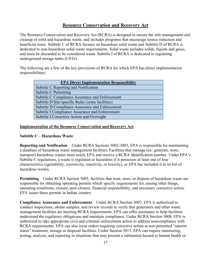## **Resource Conservation and Recovery Act**

The Resource Conservation and Recovery Act (RCRA) is designed to ensure the safe management and cleanup of solid and hazardous waste, and includes programs that encourage source reduction and beneficial reuse. Subtitle C of RCRA focuses on hazardous solid waste and Subtitle D of RCRA is dedicated to non-hazardous solid waste requirements. Solid waste includes solids, liquids and gases, and must be discarded to be considered waste. Subtitle I of RCRA is dedicated to regulating underground storage tanks (USTs).

The following are a few of the key provisions of RCRA for which EPA has direct implementation responsibilities:

| <b>EPA Direct Implementation Responsibility</b>  |
|--------------------------------------------------|
| Subtitle C Reporting and Notification            |
| Subtitle C Permitting                            |
| Subtitle C Compliance Assurance and Enforcement  |
| Subtitle D Site-specific Rules (some facilities) |
| Subtitle D Compliance Assurance and Enforcement  |
| Subtitle I Compliance Assurance and Enforcement  |
| Subtitle I Corrective Action and Oversight       |

#### **Implementation of the Resource Conservation and Recovery Act**

#### **Subtitle C – Hazardous Waste**

**Reporting and Notification** Under RCRA Sections 3002-3003, EPA is responsible for maintaining a database of hazardous waste management facilities. Facilities that manage (ex: generate, store, transport) hazardous wastes must notify EPA and receive a RCRA identification number. Under EPA's Subtitle C regulations, a waste is regulated as hazardous if it possesses at least one of four characteristics (ignitability, corrosivity, reactivity, or toxicity), or EPA has included it in its list of hazardous wastes.

**Permitting** Under RCRA Section 3005, facilities that treat, store, or dispose of hazardous waste are responsible for obtaining operating permits which specify requirements for, among other things, operating conditions, closure, post-closure, financial responsibility, and necessary corrective action. EPA issues these permits in Indian country.

**Compliance Assurance and Enforcement** Under RCRA Section 3007, EPA is authorized to conduct inspections, obtain samples, and review records to verify that generators and other waste management facilities are meeting RCRA requirements. EPA can offer assistance to help facilities understand the regulatory obligations and maintain compliance. Under RCRA Section 3008, EPA is authorized to take appropriate civil and criminal enforcement action to address noncompliance with RCRA requirements. EPA can also issue orders requiring corrective action at non-permitted "interim status" treatment, storage or disposal facilities. Under Section 3013, EPA can require monitoring, testing, analysis, and reporting in situations that may present a substantial hazard to human health or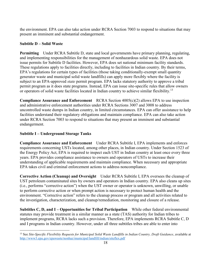the environment. EPA can also take action under RCRA Section 7003 to respond to situations that may present an imminent and substantial endangerment.

#### **Subtitle D – Solid Waste**

**Permitting** Under RCRA Subtitle D, state and local governments have primary planning, regulating, and implementing responsibilities for the management of nonhazardous solid waste. EPA does not issue permits for Subtitle D facilities. However, EPA does set national minimum facility standards. These regulations apply to facilities directly, including to facilities in Indian country. By their terms, EPA's regulations for certain types of facilities (those taking conditionally-exempt small quantity generator waste and municipal solid waste landfills) can apply more flexibly where the facility is subject to an EPA-approved *state* permit program. EPA lacks statutory authority to approve a tribal permit program as it does state programs. Instead, EPA can issue site-specific rules that allow owners or operators of solid waste facilities located in Indian country to achieve similar flexibility.<sup>13</sup>

**Compliance Assurance and Enforcement** RCRA Section 4005(c)(2) allows EPA to use inspection and administrative enforcement authorities under RCRA Sections 3007 and 3008 to address uncontrolled waste dumps in Indian country, in limited circumstances. EPA can offer assistance to help facilities understand their regulatory obligations and maintain compliance. EPA can also take action under RCRA Section 7003 to respond to situations that may present an imminent and substantial endangerment.

#### **Subtitle I – Underground Storage Tanks**

**Compliance Assurance and Enforcement** Under RCRA Subtitle I, EPA implements and enforces requirements concerning USTs located, among other places, in Indian country. Under Section 1523 of the Energy Policy Act, EPA is required to inspect each UST in Indian country at least once every three years. EPA provides compliance assistance to owners and operators of USTs to increase their understanding of applicable requirements and maintain compliance. When necessary and appropriate EPA takes civil and criminal enforcement actions to address noncompliance.

**Corrective Action (Cleanup) and Oversight** Under RCRA Subtitle I, EPA oversees the cleanup of UST petroleum contaminated sites by owners and operators in Indian country. EPA also cleans up sites (i.e., performs "corrective action") when the UST owner or operator is unknown, unwilling, or unable to perform corrective action or when prompt action is necessary to protect human health and the environment. "Corrective action" refers to the cleanup process or program and all activities related to the investigation, characterization, and cleanup/remediation, monitoring and closure of a release.

**Subtitles C, D, and I – Opportunities for Tribal Participation** While other federal environmental statutes may provide treatment in a similar manner as a state (TAS) authority for Indian tribes to implement programs, RCRA lacks such a provision. Therefore, EPA implements RCRA Subtitle C, D and I programs in Indian country. However, under all three subtitles tribes are able to enter into

 $\overline{a}$ <sup>13</sup> See *Site-Specific Flexibility Requests for Municipal Solid Waste Landfills in Indian Country, Draft Guidance*, available at <http://www3.epa.gov/epawaste/nonhaz/municipal/landfill/indian/siteflex.pdf>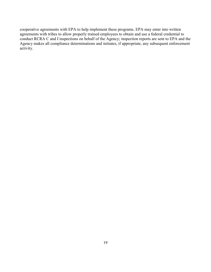cooperative agreements with EPA to help implement these programs. EPA may enter into written agreements with tribes to allow properly trained employees to obtain and use a federal credential to conduct RCRA C and I inspections on behalf of the Agency; inspection reports are sent to EPA and the Agency makes all compliance determinations and initiates, if appropriate, any subsequent enforcement activity.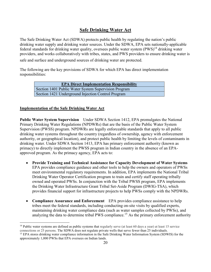## **Safe Drinking Water Act**

The Safe Drinking Water Act (SDWA) protects public health by regulating the nation's public drinking water supply and drinking water sources. Under the SDWA, EPA sets nationally-applicable federal standards for drinking water quality, oversees public water system  $(PWS)^{14}$  drinking water providers, and works collaboratively with tribes, states, and PWS providers to ensure drinking water is

safe and surface and underground sources of drinking water are protected.

The following are the key provisions of SDWA for which EPA has direct implementation responsibilities:

> **EPA Direct Implementation Responsibility** Section 1401 Public Water System Supervision Program Section 1421 Underground Injection Control Program

#### **Implementation of the Safe Drinking Water Act**

 $\overline{a}$ 

**Public Water System Supervision** Under SDWA Section 1412, EPA promulgates the National Primary Drinking Water Regulations (NPDWRs) that are the basis of the Public Water System Supervision (PWSS) program. NPDWRs are legally enforceable standards that apply to all public drinking water systems throughout the country (regardless of ownership, agency with enforcement authority, or geographical location), and protect public health by limiting the levels of contaminants in drinking water. Under SDWA Section 1413, EPA has primary enforcement authority (known as primacy) to directly implement the PWSS program in Indian country in the absence of an EPAapproved program. As the primacy agency, EPA acts to:

- **Provide Training and Technical Assistance for Capacity Development of Water Systems**  EPA provides compliance guidance and other tools to help the owners and operators of PWSs meet environmental regulatory requirements. In addition, EPA implements the National Tribal Drinking Water Operator Certification program to train and certify staff operating tribally owned and operated PWSs. In conjunction with the Tribal PWSS program, EPA implements the Drinking Water Infrastructure Grant Tribal Set-Aside Program (DWIG-TSA), which provides financial support for infrastructure projects to help PWSs comply with the NPDWRs.
- **Compliance Assurance and Enforcement** EPA provides compliance assistance to help tribes meet the federal standards, including conducting on-site visits by qualified experts, maintaining drinking water compliance data (such as water samples collected by PWSs), and analyzing the data to determine tribal PWS compliance.<sup>15</sup> As the primary enforcement authority

<sup>&</sup>lt;sup>14</sup> Public water systems are defined as public systems that regularly serve (at least 60 days a year) at least 15 service connections or 25 persons. The SDWA does not regulate private wells that serve fewer than 25 individuals.

<sup>&</sup>lt;sup>15</sup> EPA stores drinking water compliance information in the Safe Drinking Water Information System (SDWIS) for the approximately 1,000 PWSs that EPA oversees on Indian lands.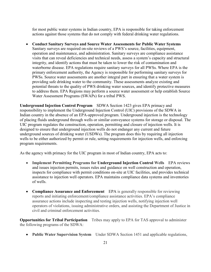for most public water systems in Indian country, EPA is responsible for taking enforcement actions against those systems that do not comply with federal drinking water regulations.

 **Conduct Sanitary Surveys and Source Water Assessments for Public Water Systems**  Sanitary surveys are required on-site reviews of a PWS's source, facilities, equipment, operation and maintenance, and administration. Sanitary surveys are compliance assistance visits that can reveal deficiencies and technical needs, assess a system's capacity and structural integrity, and identify actions that must be taken to lower the risk of contamination and waterborne disease. EPA regulations require sanitary surveys for all PWSs. Where EPA is the primary enforcement authority, the Agency is responsible for performing sanitary surveys for PWSs. Source water assessments are another integral part in ensuring that a water system is providing safe drinking water to the community. These assessments analyze existing and potential threats to the quality of PWS drinking water sources, and identify protective measures to address them. EPA Regions may perform a source water assessment or help establish Source Water Assessment Programs (SWAPs) for a tribal PWS.

**Underground Injection Control Program** SDWA Section 1423 gives EPA primacy and responsibility to implement the Underground Injection Control (UIC) provisions of the SDWA in Indian country in the absence of an EPA-approved program. Underground injection is the technology of placing fluids underground through wells or similar conveyance systems for storage or disposal. The UIC program regulates the construction, operation, permitting and closure of injection wells. It is designed to ensure that underground injection wells do not endanger any current and future underground sources of drinking water (USDWs). The program does this by requiring all injection wells to be either authorized by permit or rule, setting requirements for injection wells, and enforcing program requirements.

As the agency with primacy for the UIC program in most of Indian country, EPA acts to:

- **Implement Permitting Programs for Underground Injection Control Wells** EPA reviews and issues injection permits, issues rules and guidance on well construction and operation, inspects for compliance with permit conditions on-site at UIC facilities, and provides technical assistance to injection well operators. EPA maintains compliance data systems and inventories of wells.
- **Compliance Assurance and Enforcement** EPA is generally responsible for reviewing reports and initiating enforcement/compliance assistance activities. EPA's compliance assurance actions include inspecting and testing injection wells, notifying injection well operators of violations, issuing administrative orders, and assisting the Department of Justice in civil and criminal enforcement activities.

**Opportunities for Tribal Participation** Tribes may apply to EPA for TAS approval to administer the following programs of the SDWA:

**Public Water Supervision System** Under SDWA Section 1451 and applicable regulations,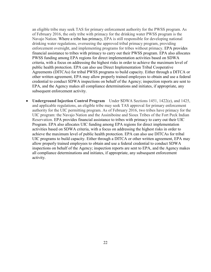an eligible tribe may seek TAS for primary enforcement authority for the PWSS program. As of February 2016, the only tribe with primacy for the drinking water PWSS program is the Navajo Nation. Where a tribe has primacy, EPA is still responsible for developing national drinking water regulations, overseeing the approved tribal primacy program, providing enforcement oversight, and implementing programs for tribes without primacy. EPA provides financial assistance to tribes with primacy to carry out their PWSS program. EPA also allocates PWSS funding among EPA regions for direct implementation activities based on SDWA criteria, with a focus on addressing the highest risks in order to achieve the maximum level of public health protection. EPA can also use Direct Implementation Tribal Cooperative Agreements (DITCAs) for tribal PWSS programs to build capacity. Either through a DITCA or other written agreement, EPA may allow properly trained employees to obtain and use a federal credential to conduct SDWA inspections on behalf of the Agency; inspection reports are sent to EPA, and the Agency makes all compliance determinations and initiates, if appropriate, any subsequent enforcement activity.

 **Underground Injection Control Program** Under SDWA Sections 1451, 1422(e), and 1425, and applicable regulations, an eligible tribe may seek TAS approval for primary enforcement authority for the UIC permitting program. As of February 2016, two tribes have primacy for the UIC program: the Navajo Nation and the Assiniboine and Sioux Tribes of the Fort Peck Indian Reservation. EPA provides financial assistance to tribes with primacy to carry out their UIC Program. EPA also allocates UIC funding among EPA regions for direct implementation activities based on SDWA criteria, with a focus on addressing the highest risks in order to achieve the maximum level of public health protection. EPA can also use DITCAs for tribal UIC programs to build capacity. Either through a DITCA or other written agreement, EPA may allow properly trained employees to obtain and use a federal credential to conduct SDWA inspections on behalf of the Agency; inspection reports are sent to EPA, and the Agency makes all compliance determinations and initiates, if appropriate, any subsequent enforcement activity.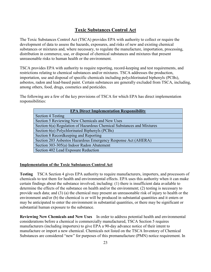## **Toxic Substances Control Act**

The Toxic Substances Control Act (TSCA) provides EPA with authority to collect or require the development of data to assess the hazards, exposures, and risks of new and existing chemical substances or mixtures and, where necessary, to regulate the manufacture, importation, processing, distribution in commerce, use, or disposal of chemical substances and mixtures that present unreasonable risks to human health or the environment.

TSCA provides EPA with authority to require reporting, record-keeping and test requirements, and restrictions relating to chemical substances and/or mixtures. TSCA addresses the production, importation, use and disposal of specific chemicals including polychlorinated biphenyls (PCBs), asbestos, radon and lead-based paint. Certain substances are generally excluded from TSCA, including, among others, food, drugs, cosmetics and pesticides.

The following are a few of the key provisions of TSCA for which EPA has direct implementation responsibilities:

| <b>EPA Direct Implementation Responsibility</b>                       |
|-----------------------------------------------------------------------|
| Section 4 Testing                                                     |
| Section 5 Reviewing New Chemicals and New Uses                        |
| Section 6(a) Regulation of Hazardous Chemical Substances and Mixtures |
| Section 6(e) Polychlorinated Biphenyls (PCBs)                         |
| Section 8 Recordkeeping and Reporting                                 |
| Section 203 Asbestos Hazardous Emergency Response Act (AHERA)         |
| Section 303-305(a) Indoor Radon Abatement                             |
| Section 402 Lead Exposure Reduction                                   |

#### **Implementation of the Toxic Substances Control Act**

**Testing** TSCA Section 4 gives EPA authority to require manufacturers, importers, and processors of chemicals to test them for health and environmental effects. EPA uses this authority when it can make certain findings about the substance involved, including: (1) there is insufficient data available to determine the effects of the substance on health and/or the environment; (2) testing is necessary to provide such data; and (3) (a) the chemical may present an unreasonable risk of injury to health or the environment and/or (b) the chemical is or will be produced in substantial quantities and it enters or may be anticipated to enter the environment in substantial quantities, or there may be significant or substantial human exposure to the substance.

**Reviewing New Chemicals and New Uses** In order to address potential health and environmental considerations before a chemical is commercially manufactured, TSCA Section 5 requires manufacturers (including importers) to give EPA a 90-day advance notice of their intent to manufacture or import a new chemical. Chemicals not listed on the TSCA Inventory of Chemical Substances are considered "new" for purposes of this premanufacture (PMN) notice requirement. In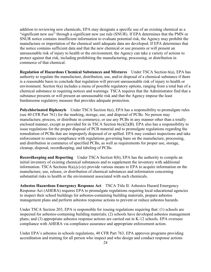addition to reviewing new chemicals, EPA may designate a specific use of an existing chemical as a "significant new use" through a significant new use rule (SNUR). If EPA determines that the PMN or SNUR notice contains insufficient information to evaluate potential risk, the Agency may prohibit the manufacture or importation of the chemical until adequate data are developed. If EPA determines that the notice contains sufficient data and that the new chemical or use presents or will present an unreasonable risk of injury to health or the environment, the Agency can take a variety of actions to protect against that risk, including prohibiting the manufacturing, processing, or distribution in commerce of that chemical.

**Regulation of Hazardous Chemical Substances and Mixtures** Under TSCA Section 6(a), EPA has authority to regulate the manufacture, distribution, use, and/or disposal of a chemical substance if there is a reasonable basis to conclude that regulation will prevent unreasonable risk of injury to health or environment. Section 6(a) includes a menu of possible regulatory options, ranging from a total ban of a chemical substance to requiring notices and warnings. TSCA requires that the Administrator find that a substance presents or will present an unreasonable risk and that the Agency impose the least burdensome regulatory measure that provides adequate protection.

**Polychlorinated Biphenyls** Under TSCA Section 6(e), EPA has a responsibility to promulgate rules (see 40 CFR Part 761) for the marking, storage, use, and disposal of PCBs. No person may manufacture, process, or distribute in commerce, or use any PCBs in any manner other than a totally enclosed manner, except as provided for in TSCA Section 6(e)(2)(B). EPA also has a responsibility to issue regulations for the proper disposal of PCB material and to promulgate regulations regarding the remediation of PCBs that are improperly disposed of or spilled. EPA may conduct inspections and take enforcement to ensure compliance with regulations governing bans on the manufacture, processing, and distribution in commerce of specified PCBs, as well as requirements for proper use, storage, cleanup, disposal, recordkeeping, and labeling of PCBs.

**Recordkeeping and Reporting** Under TSCA Section 8(b), EPA has the authority to compile an initial inventory of existing chemical substances and to supplement the inventory with additional information. TSCA Sections 8(a),(c)-(e) provide various means to EPA to acquire information on the manufacture, use, release, or distribution of chemical substances and information concerning substantial risks to health or the environment associated with such chemicals.

**Asbestos Hazardous Emergency Response Act** TSCA Title II: Asbestos Hazard Emergency Response Act (AHERA) requires EPA to promulgate regulations requiring local educational agencies to inspect their school buildings for asbestos-containing building materials, prepare asbestos management plans and perform asbestos response actions to prevent or reduce asbestos hazards.

Under TSCA Section 203, EPA is responsible for issuing regulations requiring that: (1) schools are inspected for asbestos-containing building materials; (2) schools have developed asbestos management plans; and (3) appropriate asbestos response actions are carried out in K-12 schools. EPA oversees compliance with AHERA via compliance assurance and appropriate enforcement action.

Under EPA's asbestos in schools regulations, 40 CFR Part 763, EPA approves programs providing accreditation and training for all person who inspect and who design and conduct response actions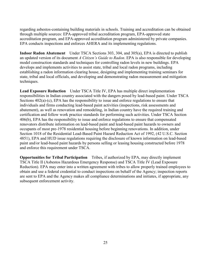regarding asbestos-containing building materials in schools. Training and accreditation can be obtained through multiple sources: EPA-approved tribal accreditation program, EPA-approved state accreditation program, and EPA-approved accreditation program administered by private companies. EPA conducts inspections and enforces AHERA and its implementing regulations.

**Indoor Radon Abatement** Under TSCA Sections 303, 304, and 305(a), EPA is directed to publish an updated version of its document *A Citizen's Guide to Radon*. EPA is also responsible for developing model construction standards and techniques for controlling radon levels in new buildings. EPA develops and implements activities to assist state, tribal and local radon programs, including establishing a radon information clearing house, designing and implementing training seminars for state, tribal and local officials, and developing and demonstrating radon measurement and mitigation techniques.

**Lead Exposure Reduction** Under TSCA Title IV, EPA has multiple direct implementation responsibilities in Indian country associated with the dangers posed by lead-based paint. Under TSCA Sections  $402(a)-(c)$ , EPA has the responsibility to issue and enforce regulations to ensure that individuals and firms conducting lead-based paint activities (inspections, risk assessments and abatement), as well as renovation and remodeling, in Indian country have the required training and certification and follow work practice standards for performing such activities. Under TSCA Section 406(b), EPA has the responsibility to issue and enforce regulations to ensure that compensated renovators distribute information on lead-based paint and lead-based paint hazards to owners and occupants of most pre-1978 residential housing before beginning renovations. In addition, under Section 1018 of the Residential Lead-Based Paint Hazard Reduction Act of 1992, (42 U.S.C. Section 4851), EPA and HUD issue regulations requiring the disclosure of known information on lead-based paint and/or lead-based paint hazards by persons selling or leasing housing constructed before 1978 and enforce this requirement under TSCA.

**Opportunities for Tribal Participation** Tribes, if authorized by EPA, may directly implement TSCA Title II (Asbestos Hazardous Emergency Response) and TSCA Title IV (Lead Exposure Reduction). EPA may enter into a written agreement with tribes to allow properly trained employees to obtain and use a federal credential to conduct inspections on behalf of the Agency; inspection reports are sent to EPA and the Agency makes all compliance determinations and initiates, if appropriate, any subsequent enforcement activity.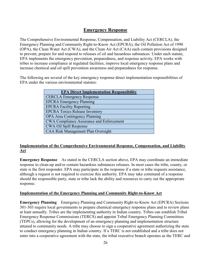## **Emergency Response**

The Comprehensive Environmental Response, Compensation, and Liability Act (CERCLA), the Emergency Planning and Community Right-to-Know Act (EPCRA), the Oil Pollution Act of 1990 (OPA), the Clean Water Act (CWA), and the Clean Air Act (CAA) each contain provisions designed to prevent, prepare for and respond to releases of oil and hazardous substances. Under each statute, EPA implements the emergency prevention, preparedness, and response activity. EPA works with tribes to increase compliance at regulated facilities, improve local emergency response plans and increase chemical and oil spill prevention awareness and preparedness for response.

The following are several of the key emergency response direct implementation responsibilities of EPA under the various environmental statutes:

| <b>EPA Direct Implementation Responsibility</b> |
|-------------------------------------------------|
| <b>CERCLA Emergency Response</b>                |
| <b>EPCRA Emergency Planning</b>                 |
| <b>EPCRA Facility Reporting</b>                 |
| <b>EPCRA Toxics Release Inventory</b>           |
| <b>OPA</b> Area Contingency Planning            |
| <b>CWA Compliance Assurance and Enforcement</b> |
| CWA Oil Spill Response                          |
| <b>CAA Risk Management Plan Oversight</b>       |

#### **Implementation of the Comprehensive Environmental Response, Compensation, and Liability Act**

**Emergency Response** As stated in the CERCLA section above, EPA may coordinate an immediate response to clean-up and/or contain hazardous substances releases. In most cases the tribe, county, or state is the first responder. EPA may participate in the response if a state or tribe requests assistance, although a request is not required to exercise this authority. EPA may take command of a response should the responsible party, state or tribe lack the ability and resources to carry out the appropriate response.

#### **Implementation of the Emergency Planning and Community Right-to-Know Act**

**Emergency Planning** Emergency Planning and Community Right-to-Know Act (EPCRA) Sections 301-303 require local governments to prepare chemical emergency response plans and to review plans at least annually. Tribes are the implementing authority in Indian country. Tribes can establish Tribal Emergency Response Commissions (TERCS) and appoint Tribal Emergency Planning Committees (TEPCs), allowing for the development of an emergency planning and implementation structure attuned to community needs. A tribe may choose to sign a cooperative agreement authorizing the state to conduct emergency planning in Indian country. If a TERC is not established and a tribe does not enter into a cooperative agreement with the state, the tribal executive branch operates as the TERC and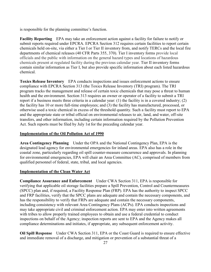is responsible for the planning committee's function.

**Facility Reporting** EPA may take an enforcement action against a facility for failure to notify or submit reports required under EPCRA. EPCRA Section 312 requires certain facilities to report certain chemicals held on-site, via either a Tier I or Tier II inventory from, and notify TERCs and the local fire departments of chemical releases (40 CFR Parts 355, 370). Tier I inventory forms provide local officials and the public with information on the general hazard types and locations of hazardous chemicals present at regulated facility during the previous calendar year. Tier II inventory forms contain similar information as Tier I, but also provide specific information about each listed hazardous chemical.

**Toxics Release Inventory** EPA conducts inspections and issues enforcement actions to ensure compliance with EPCRA Section 313 (the Toxics Release Inventory (TRI) program). The TRI program tracks the management and release of certain toxic chemicals that may pose a threat to human health and the environment. Section 313 requires an owner or operator of a facility to submit a TRI report if a business meets three criteria in a calendar year: (1) the facility is in a covered industry; (2) the facility has 10 or more full-time employees; and (3) the facility has manufactured, processed, or otherwise used a toxic chemical in excess of the threshold quantity. Such a facility must report to EPA and the appropriate state or tribal official on environmental releases to air, land, and water, off-site transfers, and other information, including certain information required by the Pollution Prevention Act. Such reports must be filed by July 1st for the preceding calendar year.

#### **Implementation of the Oil Pollution Act of 1990**

**Area Contingency Planning** Under the OPA and the National Contingency Plan, EPA is the designated lead agency for environmental emergencies for inland areas. EPA also has a role in the coastal zone, particularly regarding oil spill counter-measure concurrence and approvals. In planning for environmental emergencies, EPA will chair an Area Committee (AC), comprised of members from qualified personnel of federal, state, tribal, and local agencies.

#### **Implementation of the Clean Water Act**

**Compliance Assurance and Enforcement** Under CWA Section 311, EPA is responsible for verifying that applicable oil storage facilities prepare a Spill Prevention, Control and Countermeasures (SPCC) plan and, if required, a Facility Response Plan (FRP). EPA has the authority to inspect SPCC and FRP facilities, verify that the SPCC plans are adequate and contain the necessary components, and has the responsibility to verify that FRPs are adequate and contain the necessary components, including consistency with relevant Area Contingency Plans (ACPs). EPA conducts inspections and may take appropriate civil and criminal enforcement action. EPA may enter into written agreements with tribes to allow properly trained employees to obtain and use a federal credential to conduct inspections on behalf of the Agency; inspection reports are sent to EPA and the Agency makes all compliance determinations and initiates, if appropriate, any subsequent enforcement activity.

**Oil Spill Response** Under CWA Section 311, EPA or the Coast Guard is required to ensure effective and immediate removal of a discharge, and mitigation or prevention of a substantial threat of a